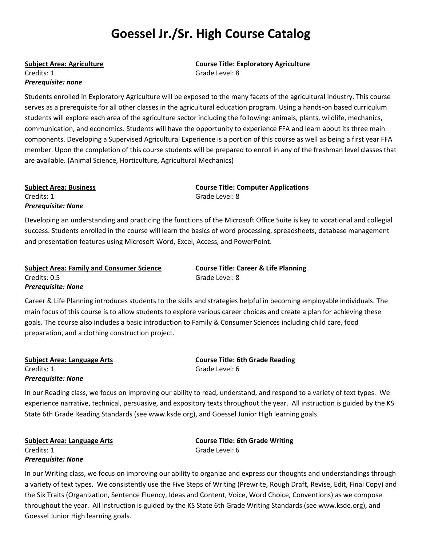# **Goessel Jr./Sr. High Course Catalog**

Credits: 1 Grade Level: 8 *Prerequisite: none*

**Subject Area: Agriculture Course Title: Exploratory Agriculture**

Students enrolled in Exploratory Agriculture will be exposed to the many facets of the agricultural industry. This course serves as a prerequisite for all other classes in the agricultural education program. Using a hands-on based curriculum students will explore each area of the agriculture sector including the following: animals, plants, wildlife, mechanics, communication, and economics. Students will have the opportunity to experience FFA and learn about its three main components. Developing a Supervised Agricultural Experience is a portion of this course as well as being a first year FFA member. Upon the completion of this course students will be prepared to enroll in any of the freshman level classes that are available. (Animal Science, Horticulture, Agricultural Mechanics)

Credits: 1 Grade Level: 8 *Prerequisite: None*

**Subject Area: Business Course Title: Computer Applications**

Developing an understanding and practicing the functions of the Microsoft Office Suite is key to vocational and collegial success. Students enrolled in the course will learn the basics of word processing, spreadsheets, database management and presentation features using Microsoft Word, Excel, Access, and PowerPoint.

**Subject Area: Family and Consumer Science Course Title: Career & Life Planning** Credits: 0.5 Grade Level: 8 *Prerequisite: None*

Career & Life Planning introduces students to the skills and strategies helpful in becoming employable individuals. The main focus of this course is to allow students to explore various career choices and create a plan for achieving these goals. The course also includes a basic introduction to Family & Consumer Sciences including child care, food preparation, and a clothing construction project.

Credits: 1 Grade Level: 6 *Prerequisite: None*

**Subject Area: Language Arts Course Title: 6th Grade Reading**

In our Reading class, we focus on improving our ability to read, understand, and respond to a variety of text types. We experience narrative, technical, persuasive, and expository texts throughout the year. All instruction is guided by the KS State 6th Grade Reading Standards (see www.ksde.org), and Goessel Junior High learning goals.

Credits: 1 Grade Level: 6 *Prerequisite: None*

**Subject Area: Language Arts Course Title: 6th Grade Writing**

In our Writing class, we focus on improving our ability to organize and express our thoughts and understandings through a variety of text types. We consistently use the Five Steps of Writing (Prewrite, Rough Draft, Revise, Edit, Final Copy) and the Six Traits (Organization, Sentence Fluency, Ideas and Content, Voice, Word Choice, Conventions) as we compose throughout the year. All instruction is guided by the KS State 6th Grade Writing Standards (see www.ksde.org), and Goessel Junior High learning goals.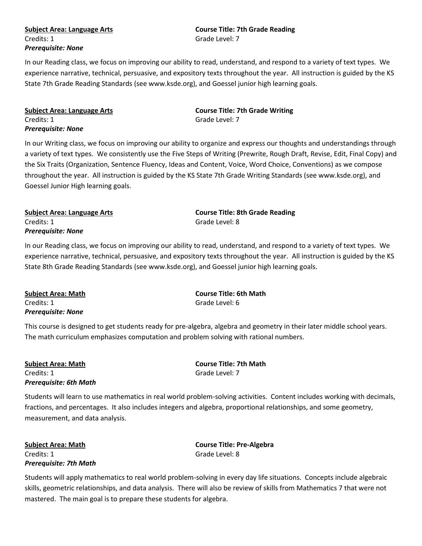## Credits: 1 Grade Level: 7 *Prerequisite: None*

# **Subject Area: Language Arts Course Title: 7th Grade Reading**

In our Reading class, we focus on improving our ability to read, understand, and respond to a variety of text types. We experience narrative, technical, persuasive, and expository texts throughout the year. All instruction is guided by the KS State 7th Grade Reading Standards (see www.ksde.org), and Goessel junior high learning goals.

| <b>Subject Area: Language Arts</b> |  |
|------------------------------------|--|
| Credits: 1                         |  |
| Prerequisite: None                 |  |

**Course Title: 7th Grade Writing** Grade Level: 7

In our Writing class, we focus on improving our ability to organize and express our thoughts and understandings through a variety of text types. We consistently use the Five Steps of Writing (Prewrite, Rough Draft, Revise, Edit, Final Copy) and the Six Traits (Organization, Sentence Fluency, Ideas and Content, Voice, Word Choice, Conventions) as we compose throughout the year. All instruction is guided by the KS State 7th Grade Writing Standards (see www.ksde.org), and Goessel Junior High learning goals.

### **Subject Area: Language Arts Course Title: 8th Grade Reading** Credits: 1 Grade Level: 8 *Prerequisite: None*

In our Reading class, we focus on improving our ability to read, understand, and respond to a variety of text types. We experience narrative, technical, persuasive, and expository texts throughout the year. All instruction is guided by the KS State 8th Grade Reading Standards (see www.ksde.org), and Goessel junior high learning goals.

| Subject Area: Math | <b>Course Title: 6th Math</b> |
|--------------------|-------------------------------|
| Credits: 1         | Grade Level: 6                |
| Prereguisite: None |                               |

This course is designed to get students ready for pre-algebra, algebra and geometry in their later middle school years. The math curriculum emphasizes computation and problem solving with rational numbers.

**Subject Area: Math Course Title: 7th Math** Credits: 1 Grade Level: 7 *Prerequisite: 6th Math*

Students will learn to use mathematics in real world problem-solving activities. Content includes working with decimals, fractions, and percentages. It also includes integers and algebra, proportional relationships, and some geometry, measurement, and data analysis.

Credits: 1 Grade Level: 8 *Prerequisite: 7th Math*

**Subject Area: Math Course Title: Pre-Algebra**

Students will apply mathematics to real world problem-solving in every day life situations. Concepts include algebraic skills, geometric relationships, and data analysis. There will also be review of skills from Mathematics 7 that were not mastered. The main goal is to prepare these students for algebra.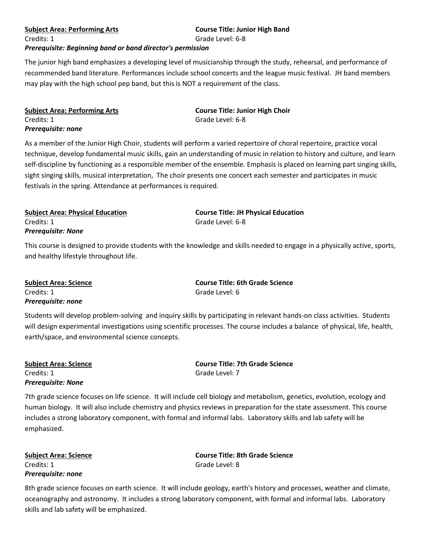### **Subject Area: Performing Arts Course Title: Junior High Band**

**Subject Area: Performing Arts Course Title: Junior High Choir**

Credits: 1 Grade Level: 6-8

Grade Level: 6-8

### *Prerequisite: Beginning band or band director's permission*

The junior high band emphasizes a developing level of musicianship through the study, rehearsal, and performance of recommended band literature. Performances include school concerts and the league music festival. JH band members may play with the high school pep band, but this is NOT a requirement of the class.

| <b>Subject Area: Performing Arts</b> |  |
|--------------------------------------|--|
| Credits: 1                           |  |
| Prerequisite: none                   |  |

As a member of the Junior High Choir, students will perform a varied repertoire of choral repertoire, practice vocal technique, develop fundamental music skills, gain an understanding of music in relation to history and culture, and learn self-discipline by functioning as a responsible member of the ensemble. Emphasis is placed on learning part singing skills, sight singing skills, musical interpretation, The choir presents one concert each semester and participates in music festivals in the spring. Attendance at performances is required.

**Subject Area: Physical Education Course Title: JH Physical Education** Credits: 1 Grade Level: 6-8 *Prerequisite: None*

This course is designed to provide students with the knowledge and skills needed to engage in a physically active, sports, and healthy lifestyle throughout life.

**Subject Area: Science Course Title: 6th Grade Science** Credits: 1 Grade Level: 6 *Prerequisite: none*

Students will develop problem-solving and inquiry skills by participating in relevant hands-on class activities. Students will design experimental investigations using scientific processes. The course includes a balance of physical, life, health, earth/space, and environmental science concepts.

Credits: 1 Grade Level: 7 *Prerequisite: None*

**Subject Area: Science Course Title: 7th Grade Science**

7th grade science focuses on life science. It will include cell biology and metabolism, genetics, evolution, ecology and human biology. It will also include chemistry and physics reviews in preparation for the state assessment. This course includes a strong laboratory component, with formal and informal labs. Laboratory skills and lab safety will be emphasized.

Credits: 1 Grade Level: 8 *Prerequisite: none*

**Subject Area: Science Course Title: 8th Grade Science**

8th grade science focuses on earth science. It will include geology, earth's history and processes, weather and climate, oceanography and astronomy. It includes a strong laboratory component, with formal and informal labs. Laboratory skills and lab safety will be emphasized.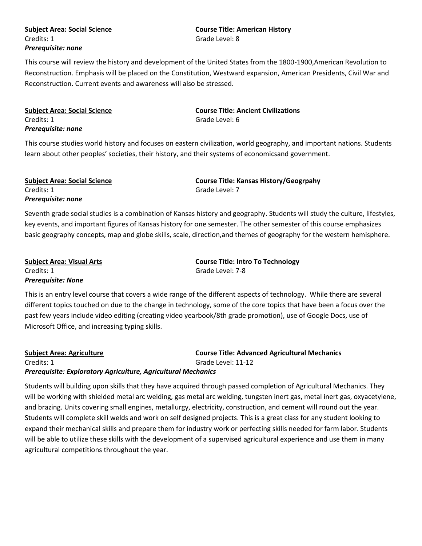# Credits: 1 Grade Level: 8 *Prerequisite: none*

# **Subject Area: Social Science Course Title: American History**

This course will review the history and development of the United States from the 1800-1900,American Revolution to Reconstruction. Emphasis will be placed on the Constitution, Westward expansion, American Presidents, Civil War and Reconstruction. Current events and awareness will also be stressed.

| <b>Subject Area: Social Science</b> |  |
|-------------------------------------|--|
| Credits: 1                          |  |
| Prerequisite: none                  |  |

**Subject Area: Social Science Course Title: Ancient Civilizations** Grade Level: 6

This course studies world history and focuses on eastern civilization, world geography, and important nations. Students learn about other peoples' societies, their history, and their systems of economicsand government.

Credits: 1 Grade Level: 7 *Prerequisite: none*

**Subject Area: Social Science Course Title: Kansas History/Geogrpahy**

Seventh grade social studies is a combination of Kansas history and geography. Students will study the culture, lifestyles, key events, and important figures of Kansas history for one semester. The other semester of this course emphasizes basic geography concepts, map and globe skills, scale, direction,and themes of geography for the western hemisphere.

| <b>Subject Area: Visual Arts</b> | <b>Course Title: Intro To Technology</b> |
|----------------------------------|------------------------------------------|
| Credits: 1                       | Grade Level: 7-8                         |
| <b>Prerequisite: None</b>        |                                          |

This is an entry level course that covers a wide range of the different aspects of technology. While there are several different topics touched on due to the change in technology, some of the core topics that have been a focus over the past few years include video editing (creating video yearbook/8th grade promotion), use of Google Docs, use of Microsoft Office, and increasing typing skills.

**Subject Area: Agriculture Course Title: Advanced Agricultural Mechanics** Credits: 1 Grade Level: 11-12 *Prerequisite: Exploratory Agriculture, Agricultural Mechanics*

Students will building upon skills that they have acquired through passed completion of Agricultural Mechanics. They will be working with shielded metal arc welding, gas metal arc welding, tungsten inert gas, metal inert gas, oxyacetylene, and brazing. Units covering small engines, metallurgy, electricity, construction, and cement will round out the year. Students will complete skill welds and work on self designed projects. This is a great class for any student looking to expand their mechanical skills and prepare them for industry work or perfecting skills needed for farm labor. Students will be able to utilize these skills with the development of a supervised agricultural experience and use them in many agricultural competitions throughout the year.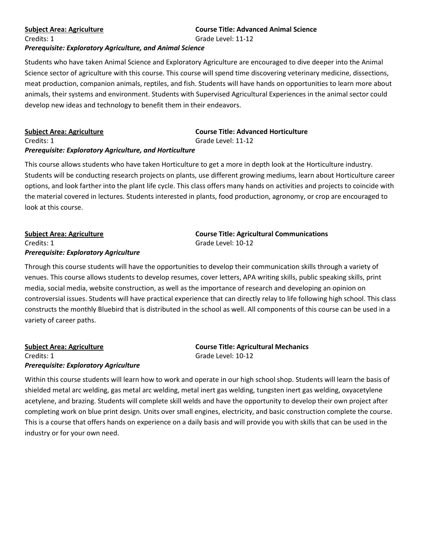### **Subject Area: Agriculture Course Title: Advanced Animal Science**

Credits: 1 Grade Level: 11-12

### *Prerequisite: Exploratory Agriculture, and Animal Science*

Students who have taken Animal Science and Exploratory Agriculture are encouraged to dive deeper into the Animal Science sector of agriculture with this course. This course will spend time discovering veterinary medicine, dissections, meat production, companion animals, reptiles, and fish. Students will have hands on opportunities to learn more about animals, their systems and environment. Students with Supervised Agricultural Experiences in the animal sector could develop new ideas and technology to benefit them in their endeavors.

| <b>Subject Area: Agriculture</b>                        | <b>Course Title: Advanced Horticulture</b> |
|---------------------------------------------------------|--------------------------------------------|
| Credits: 1                                              | Grade Level: 11-12                         |
| Prerequisite: Exploratory Agriculture, and Horticulture |                                            |

This course allows students who have taken Horticulture to get a more in depth look at the Horticulture industry. Students will be conducting research projects on plants, use different growing mediums, learn about Horticulture career options, and look farther into the plant life cycle. This class offers many hands on activities and projects to coincide with the material covered in lectures. Students interested in plants, food production, agronomy, or crop are encouraged to look at this course.

# Credits: 1 Grade Level: 10-12 *Prerequisite: Exploratory Agriculture*

**Subject Area: Agriculture Course Title: Agricultural Communications**

Through this course students will have the opportunities to develop their communication skills through a variety of venues. This course allows students to develop resumes, cover letters, APA writing skills, public speaking skills, print media, social media, website construction, as well as the importance of research and developing an opinion on controversial issues. Students will have practical experience that can directly relay to life following high school. This class constructs the monthly Bluebird that is distributed in the school as well. All components of this course can be used in a variety of career paths.

**Subject Area: Agriculture Course Title: Agricultural Mechanics** Credits: 1 Grade Level: 10-12 *Prerequisite: Exploratory Agriculture*

Within this course students will learn how to work and operate in our high school shop. Students will learn the basis of shielded metal arc welding, gas metal arc welding, metal inert gas welding, tungsten inert gas welding, oxyacetylene acetylene, and brazing. Students will complete skill welds and have the opportunity to develop their own project after completing work on blue print design. Units over small engines, electricity, and basic construction complete the course. This is a course that offers hands on experience on a daily basis and will provide you with skills that can be used in the industry or for your own need.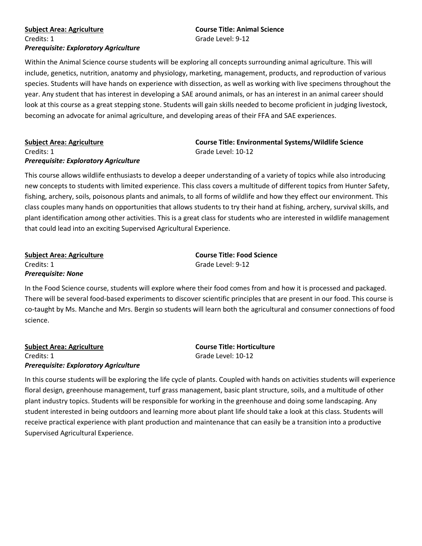### *Prerequisite: Exploratory Agriculture*

### **Subject Area: Agriculture Course Title: Animal Science** Credits: 1 Grade Level: 9-12

Within the Animal Science course students will be exploring all concepts surrounding animal agriculture. This will include, genetics, nutrition, anatomy and physiology, marketing, management, products, and reproduction of various species. Students will have hands on experience with dissection, as well as working with live specimens throughout the year. Any student that has interest in developing a SAE around animals, or has an interest in an animal career should look at this course as a great stepping stone. Students will gain skills needed to become proficient in judging livestock, becoming an advocate for animal agriculture, and developing areas of their FFA and SAE experiences.

# **Subject Area: Agriculture Course Title: Environmental Systems/Wildlife Science**

### Credits: 1 Grade Level: 10-12 *Prerequisite: Exploratory Agriculture*

This course allows wildlife enthusiasts to develop a deeper understanding of a variety of topics while also introducing new concepts to students with limited experience. This class covers a multitude of different topics from Hunter Safety, fishing, archery, soils, poisonous plants and animals, to all forms of wildlife and how they effect our environment. This class couples many hands on opportunities that allows students to try their hand at fishing, archery, survival skills, and plant identification among other activities. This is a great class for students who are interested in wildlife management that could lead into an exciting Supervised Agricultural Experience.

| <b>Subject Area: Agriculture</b> | <b>Course Title: Food Science</b> |
|----------------------------------|-----------------------------------|
| Credits: 1                       | Grade Level: 9-12                 |
| <b>Prerequisite: None</b>        |                                   |

In the Food Science course, students will explore where their food comes from and how it is processed and packaged. There will be several food-based experiments to discover scientific principles that are present in our food. This course is co-taught by Ms. Manche and Mrs. Bergin so students will learn both the agricultural and consumer connections of food science.

**Subject Area: Agriculture Course Title: Horticulture** Credits: 1 Grade Level: 10-12 *Prerequisite: Exploratory Agriculture*

In this course students will be exploring the life cycle of plants. Coupled with hands on activities students will experience floral design, greenhouse management, turf grass management, basic plant structure, soils, and a multitude of other plant industry topics. Students will be responsible for working in the greenhouse and doing some landscaping. Any student interested in being outdoors and learning more about plant life should take a look at this class. Students will receive practical experience with plant production and maintenance that can easily be a transition into a productive Supervised Agricultural Experience.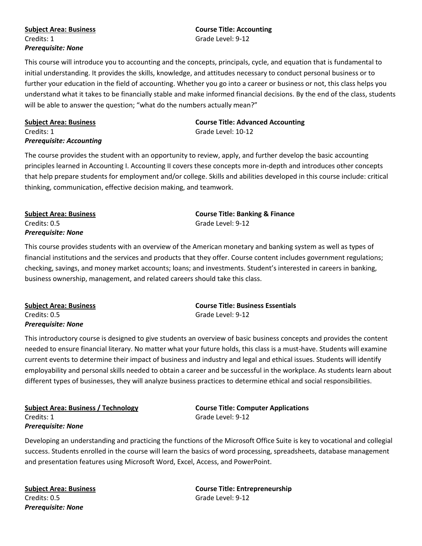## Credits: 1 Grade Level: 9-12 *Prerequisite: None*

# **Subject Area: Business Course Title: Accounting**

This course will introduce you to accounting and the concepts, principals, cycle, and equation that is fundamental to initial understanding. It provides the skills, knowledge, and attitudes necessary to conduct personal business or to further your education in the field of accounting. Whether you go into a career or business or not, this class helps you understand what it takes to be financially stable and make informed financial decisions. By the end of the class, students will be able to answer the question; "what do the numbers actually mean?"

### *Prerequisite: Accounting*

**Subject Area: Business Course Title: Advanced Accounting** Credits: 1 Grade Level: 10-12

The course provides the student with an opportunity to review, apply, and further develop the basic accounting principles learned in Accounting I. Accounting II covers these concepts more in-depth and introduces other concepts that help prepare students for employment and/or college. Skills and abilities developed in this course include: critical thinking, communication, effective decision making, and teamwork.

# Credits: 0.5 Grade Level: 9-12 *Prerequisite: None*

**Subject Area: Business Course Title: Banking & Finance**

This course provides students with an overview of the American monetary and banking system as well as types of financial institutions and the services and products that they offer. Course content includes government regulations; checking, savings, and money market accounts; loans; and investments. Student's interested in careers in banking, business ownership, management, and related careers should take this class.

| <b>Subject Area: Business</b> | <b>Course Title: Business Essentials</b> |
|-------------------------------|------------------------------------------|
| Credits: 0.5                  | Grade Level: 9-12                        |
| <b>Prerequisite: None</b>     |                                          |

This introductory course is designed to give students an overview of basic business concepts and provides the content needed to ensure financial literary. No matter what your future holds, this class is a must-have. Students will examine current events to determine their impact of business and industry and legal and ethical issues. Students will identify employability and personal skills needed to obtain a career and be successful in the workplace. As students learn about different types of businesses, they will analyze business practices to determine ethical and social responsibilities.

**Subject Area: Business / Technology Course Title: Computer Applications** Credits: 1 Grade Level: 9-12 *Prerequisite: None*

Developing an understanding and practicing the functions of the Microsoft Office Suite is key to vocational and collegial success. Students enrolled in the course will learn the basics of word processing, spreadsheets, database management and presentation features using Microsoft Word, Excel, Access, and PowerPoint.

Credits: 0.5 Grade Level: 9-12 *Prerequisite: None*

**Subject Area: Business Course Title: Entrepreneurship**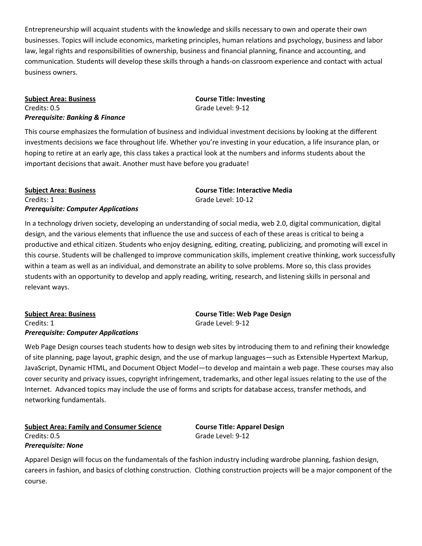Entrepreneurship will acquaint students with the knowledge and skills necessary to own and operate their own businesses. Topics will include economics, marketing principles, human relations and psychology, business and labor law, legal rights and responsibilities of ownership, business and financial planning, finance and accounting, and communication. Students will develop these skills through a hands-on classroom experience and contact with actual business owners.

### **Subject Area: Business Course Title: Investing** Credits: 0.5 Grade Level: 9-12 *Prerequisite: Banking & Finance*

This course emphasizes the formulation of business and individual investment decisions by looking at the different investments decisions we face throughout life. Whether you're investing in your education, a life insurance plan, or hoping to retire at an early age, this class takes a practical look at the numbers and informs students about the important decisions that await. Another must have before you graduate!

### **Subject Area: Business Course Title: Interactive Media** Credits: 1 Grade Level: 10-12 *Prerequisite: Computer Applications*

In a technology driven society, developing an understanding of social media, web 2.0, digital communication, digital design, and the various elements that influence the use and success of each of these areas is critical to being a productive and ethical citizen. Students who enjoy designing, editing, creating, publicizing, and promoting will excel in this course. Students will be challenged to improve communication skills, implement creative thinking, work successfully within a team as well as an individual, and demonstrate an ability to solve problems. More so, this class provides students with an opportunity to develop and apply reading, writing, research, and listening skills in personal and relevant ways.

### **Subject Area: Business Course Title: Web Page Design** Credits: 1 Grade Level: 9-12 *Prerequisite: Computer Applications*

Web Page Design courses teach students how to design web sites by introducing them to and refining their knowledge of site planning, page layout, graphic design, and the use of markup languages—such as Extensible Hypertext Markup, JavaScript, Dynamic HTML, and Document Object Model—to develop and maintain a web page. These courses may also cover security and privacy issues, copyright infringement, trademarks, and other legal issues relating to the use of the Internet. Advanced topics may include the use of forms and scripts for database access, transfer methods, and networking fundamentals.

### **Subject Area: Family and Consumer Science Course Title: Apparel Design** Credits: 0.5 Grade Level: 9-12 *Prerequisite: None*

Apparel Design will focus on the fundamentals of the fashion industry including wardrobe planning, fashion design, careers in fashion, and basics of clothing construction. Clothing construction projects will be a major component of the course.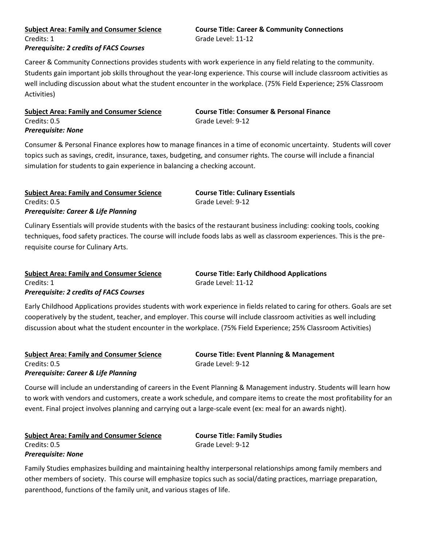# Credits: 1 Grade Level: 11-12 *Prerequisite: 2 credits of FACS Courses*

# **Subject Area: Family and Consumer Science Course Title: Career & Community Connections**

Career & Community Connections provides students with work experience in any field relating to the community. Students gain important job skills throughout the year-long experience. This course will include classroom activities as well including discussion about what the student encounter in the workplace. (75% Field Experience; 25% Classroom Activities)

### **Subject Area: Family and Consumer Science Course Title: Consumer & Personal Finance** Credits: 0.5 Grade Level: 9-12 *Prerequisite: None*

Consumer & Personal Finance explores how to manage finances in a time of economic uncertainty. Students will cover topics such as savings, credit, insurance, taxes, budgeting, and consumer rights. The course will include a financial simulation for students to gain experience in balancing a checking account.

### **Subject Area: Family and Consumer Science Course Title: Culinary Essentials** Credits: 0.5 Grade Level: 9-12 *Prerequisite: Career & Life Planning*

Culinary Essentials will provide students with the basics of the restaurant business including: cooking tools, cooking techniques, food safety practices. The course will include foods labs as well as classroom experiences. This is the pre-

requisite course for Culinary Arts.

### **Subject Area: Family and Consumer Science Course Title: Early Childhood Applications** Credits: 1 Grade Level: 11-12 *Prerequisite: 2 credits of FACS Courses*

Early Childhood Applications provides students with work experience in fields related to caring for others. Goals are set cooperatively by the student, teacher, and employer. This course will include classroom activities as well including discussion about what the student encounter in the workplace. (75% Field Experience; 25% Classroom Activities)

# Credits: 0.5 Grade Level: 9-12 *Prerequisite: Career & Life Planning*

**Subject Area: Family and Consumer Science Course Title: Event Planning & Management**

Course will include an understanding of careers in the Event Planning & Management industry. Students will learn how to work with vendors and customers, create a work schedule, and compare items to create the most profitability for an event. Final project involves planning and carrying out a large-scale event (ex: meal for an awards night).

|                           | <b>Subject Area: Family and Consumer Science</b> |
|---------------------------|--------------------------------------------------|
| Credits: 0.5              |                                                  |
| <b>Prerequisite: None</b> |                                                  |

**Course Title: Family Studies** Grade Level: 9-12

Family Studies emphasizes building and maintaining healthy interpersonal relationships among family members and other members of society. This course will emphasize topics such as social/dating practices, marriage preparation, parenthood, functions of the family unit, and various stages of life.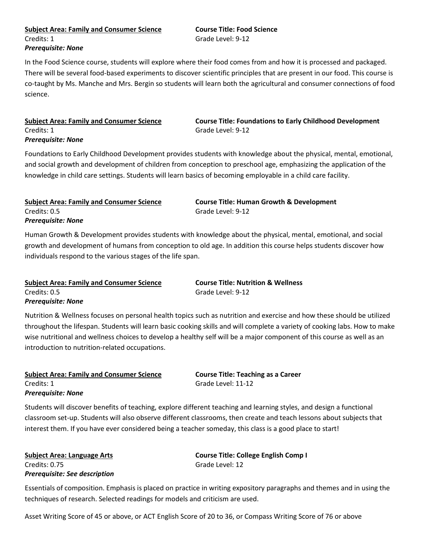### **Subject Area: Family and Consumer Science Course Title: Food Science** Credits: 1 Grade Level: 9-12 *Prerequisite: None*

In the Food Science course, students will explore where their food comes from and how it is processed and packaged. There will be several food-based experiments to discover scientific principles that are present in our food. This course is co-taught by Ms. Manche and Mrs. Bergin so students will learn both the agricultural and consumer connections of food science.

## Credits: 1 Grade Level: 9-12 *Prerequisite: None*

**Subject Area: Family and Consumer Science Course Title: Foundations to Early Childhood Development**

Foundations to Early Childhood Development provides students with knowledge about the physical, mental, emotional, and social growth and development of children from conception to preschool age, emphasizing the application of the knowledge in child care settings. Students will learn basics of becoming employable in a child care facility.

### **Subject Area: Family and Consumer Science Course Title: Human Growth & Development** Credits: 0.5 Grade Level: 9-12 *Prerequisite: None*

Human Growth & Development provides students with knowledge about the physical, mental, emotional, and social growth and development of humans from conception to old age. In addition this course helps students discover how individuals respond to the various stages of the life span.

### **Subject Area: Family and Consumer Science Course Title: Nutrition & Wellness** Credits: 0.5 Grade Level: 9-12 *Prerequisite: None*

Nutrition & Wellness focuses on personal health topics such as nutrition and exercise and how these should be utilized throughout the lifespan. Students will learn basic cooking skills and will complete a variety of cooking labs. How to make wise nutritional and wellness choices to develop a healthy self will be a major component of this course as well as an introduction to nutrition-related occupations.

### **Subject Area: Family and Consumer Science Course Title: Teaching as a Career** Credits: 1 Grade Level: 11-12 *Prerequisite: None*

Students will discover benefits of teaching, explore different teaching and learning styles, and design a functional classroom set-up. Students will also observe different classrooms, then create and teach lessons about subjects that interest them. If you have ever considered being a teacher someday, this class is a good place to start!

Credits: 0.75 Grade Level: 12 *Prerequisite: See description*

**Subject Area: Language Arts Course Title: College English Comp I**

Essentials of composition. Emphasis is placed on practice in writing expository paragraphs and themes and in using the techniques of research. Selected readings for models and criticism are used.

Asset Writing Score of 45 or above, or ACT English Score of 20 to 36, or Compass Writing Score of 76 or above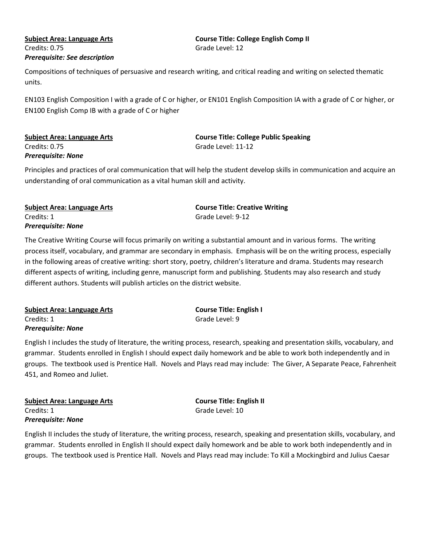## Credits: 0.75 Grade Level: 12 *Prerequisite: See description*

# **Subject Area: Language Arts Course Title: College English Comp II**

Compositions of techniques of persuasive and research writing, and critical reading and writing on selected thematic units.

EN103 English Composition I with a grade of C or higher, or EN101 English Composition IA with a grade of C or higher, or EN100 English Comp IB with a grade of C or higher

# Credits: 0.75 Grade Level: 11-12 *Prerequisite: None*

**Subject Area: Language Arts Course Title: College Public Speaking**

Principles and practices of oral communication that will help the student develop skills in communication and acquire an understanding of oral communication as a vital human skill and activity.

| Subject Area: Language Arts | <b>Course Title: Creative Writing</b> |
|-----------------------------|---------------------------------------|
| Credits: 1                  | Grade Level: 9-12                     |
| Prerequisite: None          |                                       |

The Creative Writing Course will focus primarily on writing a substantial amount and in various forms. The writing process itself, vocabulary, and grammar are secondary in emphasis. Emphasis will be on the writing process, especially in the following areas of creative writing: short story, poetry, children's literature and drama. Students may research different aspects of writing, including genre, manuscript form and publishing. Students may also research and study different authors. Students will publish articles on the district website.

| Subject Area: Language Arts | <b>Course Title: English I</b> |
|-----------------------------|--------------------------------|
| Credits: 1                  | Grade Level: 9                 |
| Prerequisite: None          |                                |

English I includes the study of literature, the writing process, research, speaking and presentation skills, vocabulary, and grammar. Students enrolled in English I should expect daily homework and be able to work both independently and in groups. The textbook used is Prentice Hall. Novels and Plays read may include: The Giver, A Separate Peace, Fahrenheit 451, and Romeo and Juliet.

| <b>Subject Area: Language Arts</b> |
|------------------------------------|
| Credits: 1                         |
| <b>Prerequisite: None</b>          |

**Subject Area: Language Arts Course Title: English II** Grade Level: 10

English II includes the study of literature, the writing process, research, speaking and presentation skills, vocabulary, and grammar. Students enrolled in English II should expect daily homework and be able to work both independently and in groups. The textbook used is Prentice Hall. Novels and Plays read may include: To Kill a Mockingbird and Julius Caesar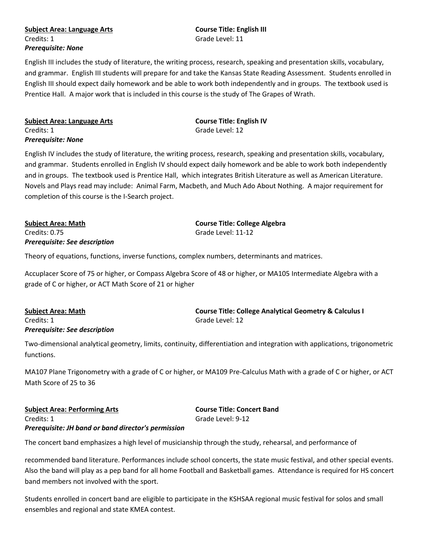### **Subject Area: Language Arts Course Title: English III** Credits: 1 Grade Level: 11 *Prerequisite: None*

English III includes the study of literature, the writing process, research, speaking and presentation skills, vocabulary, and grammar. English III students will prepare for and take the Kansas State Reading Assessment. Students enrolled in English III should expect daily homework and be able to work both independently and in groups. The textbook used is Prentice Hall. A major work that is included in this course is the study of The Grapes of Wrath.

| Subject Area: Language Arts | <b>Course Title: English IV</b> |
|-----------------------------|---------------------------------|
| Credits: 1                  | Grade Level: 12                 |
| Prerequisite: None          |                                 |

English IV includes the study of literature, the writing process, research, speaking and presentation skills, vocabulary, and grammar. Students enrolled in English IV should expect daily homework and be able to work both independently and in groups. The textbook used is Prentice Hall, which integrates British Literature as well as American Literature. Novels and Plays read may include: Animal Farm, Macbeth, and Much Ado About Nothing. A major requirement for completion of this course is the I-Search project.

Credits: 0.75 Grade Level: 11-12 *Prerequisite: See description*

**Subject Area: Math Course Title: College Algebra**

Theory of equations, functions, inverse functions, complex numbers, determinants and matrices.

Accuplacer Score of 75 or higher, or Compass Algebra Score of 48 or higher, or MA105 Intermediate Algebra with a grade of C or higher, or ACT Math Score of 21 or higher

### Credits: 1 Grade Level: 12 *Prerequisite: See description*

**Subject Area: Math Course Title: College Analytical Geometry & Calculus I**

Two-dimensional analytical geometry, limits, continuity, differentiation and integration with applications, trigonometric functions.

MA107 Plane Trigonometry with a grade of C or higher, or MA109 Pre-Calculus Math with a grade of C or higher, or ACT Math Score of 25 to 36

**Subject Area: Performing Arts Course Title: Concert Band** Credits: 1 Grade Level: 9-12 *Prerequisite: JH band or band director's permission*

The concert band emphasizes a high level of musicianship through the study, rehearsal, and performance of

recommended band literature. Performances include school concerts, the state music festival, and other special events. Also the band will play as a pep band for all home Football and Basketball games. Attendance is required for HS concert band members not involved with the sport.

Students enrolled in concert band are eligible to participate in the KSHSAA regional music festival for solos and small ensembles and regional and state KMEA contest.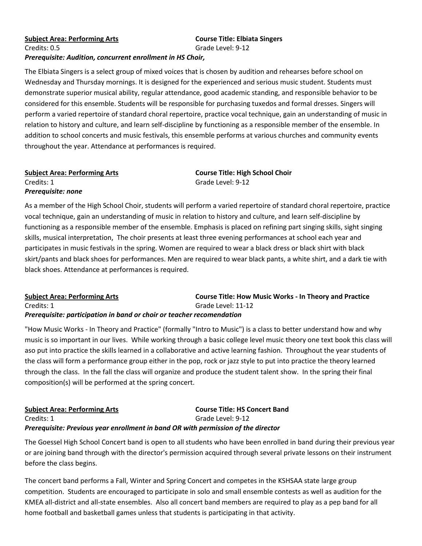### **Subject Area: Performing Arts Course Title: Elbiata Singers** Credits: 0.5 Grade Level: 9-12 *Prerequisite: Audition, concurrent enrollment in HS Choir,*

The Elbiata Singers is a select group of mixed voices that is chosen by audition and rehearses before school on Wednesday and Thursday mornings. It is designed for the experienced and serious music student. Students must demonstrate superior musical ability, regular attendance, good academic standing, and responsible behavior to be considered for this ensemble. Students will be responsible for purchasing tuxedos and formal dresses. Singers will perform a varied repertoire of standard choral repertoire, practice vocal technique, gain an understanding of music in relation to history and culture, and learn self-discipline by functioning as a responsible member of the ensemble. In addition to school concerts and music festivals, this ensemble performs at various churches and community events throughout the year. Attendance at performances is required.

# Credits: 1 Grade Level: 9-12 *Prerequisite: none*

**Subject Area: Performing Arts Course Title: High School Choir**

As a member of the High School Choir, students will perform a varied repertoire of standard choral repertoire, practice vocal technique, gain an understanding of music in relation to history and culture, and learn self-discipline by functioning as a responsible member of the ensemble. Emphasis is placed on refining part singing skills, sight singing skills, musical interpretation, The choir presents at least three evening performances at school each year and participates in music festivals in the spring. Women are required to wear a black dress or black shirt with black skirt/pants and black shoes for performances. Men are required to wear black pants, a white shirt, and a dark tie with black shoes. Attendance at performances is required.

### **Subject Area: Performing Arts Course Title: How Music Works - In Theory and Practice** Credits: 1 Grade Level: 11-12 *Prerequisite: participation in band or choir or teacher recomendation*

"How Music Works - In Theory and Practice" (formally "Intro to Music") is a class to better understand how and why music is so important in our lives. While working through a basic college level music theory one text book this class will aso put into practice the skills learned in a collaborative and active learning fashion. Throughout the year students of the class will form a performance group either in the pop, rock or jazz style to put into practice the theory learned through the class. In the fall the class will organize and produce the student talent show. In the spring their final composition(s) will be performed at the spring concert.

### **Subject Area: Performing Arts Course Title: HS Concert Band** Credits: 1 Grade Level: 9-12 *Prerequisite: Previous year enrollment in band OR with permission of the director*

The Goessel High School Concert band is open to all students who have been enrolled in band during their previous year or are joining band through with the director's permission acquired through several private lessons on their instrument before the class begins.

The concert band performs a Fall, Winter and Spring Concert and competes in the KSHSAA state large group competition. Students are encouraged to participate in solo and small ensemble contests as well as audition for the KMEA all-district and all-state ensembles. Also all concert band members are required to play as a pep band for all home football and basketball games unless that students is participating in that activity.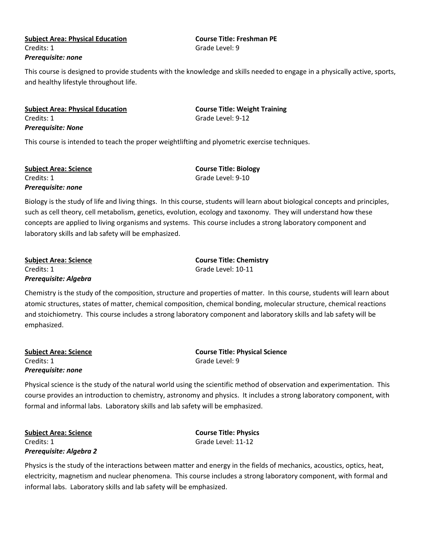### **Subject Area: Physical Education Course Title: Freshman PE** Credits: 1 Grade Level: 9 *Prerequisite: none*

This course is designed to provide students with the knowledge and skills needed to engage in a physically active, sports, and healthy lifestyle throughout life.

**Subject Area: Physical Education Course Title: Weight Training** Credits: 1 Grade Level: 9-12 *Prerequisite: None*

This course is intended to teach the proper weightlifting and plyometric exercise techniques.

| <b>Subject Area: Science</b> | <b>Course Title: Biology</b> |
|------------------------------|------------------------------|
| Credits: 1                   | Grade Level: 9-10            |
| Prerequisite: none           |                              |

Biology is the study of life and living things. In this course, students will learn about biological concepts and principles, such as cell theory, cell metabolism, genetics, evolution, ecology and taxonomy. They will understand how these concepts are applied to living organisms and systems. This course includes a strong laboratory component and laboratory skills and lab safety will be emphasized.

**Subject Area: Science Course Title: Chemistry** Credits: 1 Grade Level: 10-11 *Prerequisite: Algebra*

Chemistry is the study of the composition, structure and properties of matter. In this course, students will learn about atomic structures, states of matter, chemical composition, chemical bonding, molecular structure, chemical reactions and stoichiometry. This course includes a strong laboratory component and laboratory skills and lab safety will be

Credits: 1 Grade Level: 9 *Prerequisite: none*

emphasized.

**Subject Area: Science Course Title: Physical Science**

Physical science is the study of the natural world using the scientific method of observation and experimentation. This course provides an introduction to chemistry, astronomy and physics. It includes a strong laboratory component, with formal and informal labs. Laboratory skills and lab safety will be emphasized.

**Subject Area: Science Course Title: Physics** Credits: 1 Grade Level: 11-12 *Prerequisite: Algebra 2*

Physics is the study of the interactions between matter and energy in the fields of mechanics, acoustics, optics, heat, electricity, magnetism and nuclear phenomena. This course includes a strong laboratory component, with formal and informal labs. Laboratory skills and lab safety will be emphasized.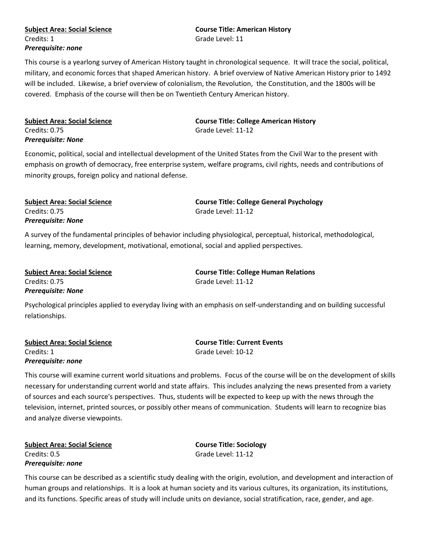### **Subject Area: Social Science Course Title: American History** Credits: 1 Grade Level: 11 *Prerequisite: none*

This course is a yearlong survey of American History taught in chronological sequence. It will trace the social, political, military, and economic forces that shaped American history. A brief overview of Native American History prior to 1492 will be included. Likewise, a brief overview of colonialism, the Revolution, the Constitution, and the 1800s will be covered. Emphasis of the course will then be on Twentieth Century American history.

| <b>Subject Area: Social Science</b> |  |
|-------------------------------------|--|
| Credits: 0.75                       |  |
| Prereguisite: None                  |  |

**Course Title: College American History** Grade Level: 11-12

Economic, political, social and intellectual development of the United States from the Civil War to the present with emphasis on growth of democracy, free enterprise system, welfare programs, civil rights, needs and contributions of minority groups, foreign policy and national defense.

| <b>Subject Area: Social Science</b> | <b>Course Title: College General Psychology</b> |
|-------------------------------------|-------------------------------------------------|
| Credits: 0.75                       | Grade Level: 11-12                              |
| <b>Prerequisite: None</b>           |                                                 |

A survey of the fundamental principles of behavior including physiological, perceptual, historical, methodological, learning, memory, development, motivational, emotional, social and applied perspectives.

**Subject Area: Social Science Course Title: College Human Relations** Credits: 0.75 Grade Level: 11-12 *Prerequisite: None*

Psychological principles applied to everyday living with an emphasis on self-understanding and on building successful relationships.

| <b>Subject Area: Social Science</b> | <b>Course Title: Current Events</b> |
|-------------------------------------|-------------------------------------|
| Credits: 1                          | Grade Level: 10-12                  |
| Prereguisite: none                  |                                     |

This course will examine current world situations and problems. Focus of the course will be on the development of skills necessary for understanding current world and state affairs. This includes analyzing the news presented from a variety of sources and each source's perspectives. Thus, students will be expected to keep up with the news through the television, internet, printed sources, or possibly other means of communication. Students will learn to recognize bias and analyze diverse viewpoints.

**Subject Area: Social Science Course Title: Sociology** Credits: 0.5 Grade Level: 11-12 *Prerequisite: none*

This course can be described as a scientific study dealing with the origin, evolution, and development and interaction of human groups and relationships. It is a look at human society and its various cultures, its organization, its institutions, and its functions. Specific areas of study will include units on deviance, social stratification, race, gender, and age.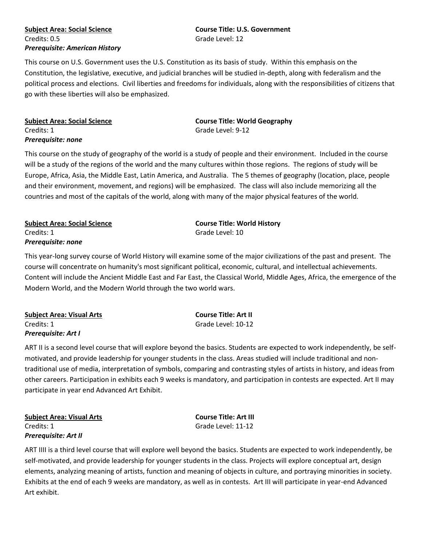### **Subject Area: Social Science Course Title: U.S. Government** Credits: 0.5 Grade Level: 12 *Prerequisite: American History*

This course on U.S. Government uses the U.S. Constitution as its basis of study. Within this emphasis on the Constitution, the legislative, executive, and judicial branches will be studied in-depth, along with federalism and the political process and elections. Civil liberties and freedoms for individuals, along with the responsibilities of citizens that go with these liberties will also be emphasized.

| Subject Area: Social Science |  |
|------------------------------|--|
| Credits: 1                   |  |
| Prerequisite: none           |  |

**Subject Area: Social Science Course Title: World Geography** Grade Level: 9-12

This course on the study of geography of the world is a study of people and their environment. Included in the course will be a study of the regions of the world and the many cultures within those regions. The regions of study will be Europe, Africa, Asia, the Middle East, Latin America, and Australia. The 5 themes of geography (location, place, people and their environment, movement, and regions) will be emphasized. The class will also include memorizing all the countries and most of the capitals of the world, along with many of the major physical features of the world.

**Subject Area: Social Science Course Title: World History** Credits: 1 Grade Level: 10 *Prerequisite: none*

This year-long survey course of World History will examine some of the major civilizations of the past and present. The course will concentrate on humanity's most significant political, economic, cultural, and intellectual achievements. Content will include the Ancient Middle East and Far East, the Classical World, Middle Ages, Africa, the emergence of the Modern World, and the Modern World through the two world wars.

| <b>Subject Area: Visual Arts</b> |  |
|----------------------------------|--|
| Credits: 1                       |  |
| <b>Prerequisite: Art I</b>       |  |

**Subject Area: Visual Arts Course Title: Art II** Grade Level: 10-12

ART II is a second level course that will explore beyond the basics. Students are expected to work independently, be selfmotivated, and provide leadership for younger students in the class. Areas studied will include traditional and nontraditional use of media, interpretation of symbols, comparing and contrasting styles of artists in history, and ideas from other careers. Participation in exhibits each 9 weeks is mandatory, and participation in contests are expected. Art II may participate in year end Advanced Art Exhibit.

**Subject Area: Visual Arts Course Title: Art III** Credits: 1 Grade Level: 11-12 *Prerequisite: Art II*

ART IIII is a third level course that will explore well beyond the basics. Students are expected to work independently, be self-motivated, and provide leadership for younger students in the class. Projects will explore conceptual art, design elements, analyzing meaning of artists, function and meaning of objects in culture, and portraying minorities in society. Exhibits at the end of each 9 weeks are mandatory, as well as in contests. Art III will participate in year-end Advanced Art exhibit.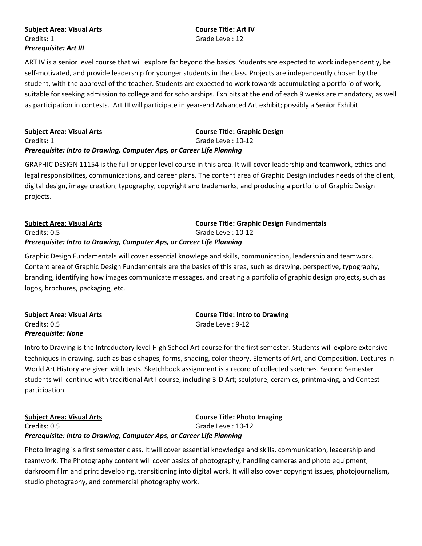### **Subject Area: Visual Arts Course Title: Art IV** Credits: 1 Grade Level: 12 *Prerequisite: Art III*

ART IV is a senior level course that will explore far beyond the basics. Students are expected to work independently, be self-motivated, and provide leadership for younger students in the class. Projects are independently chosen by the student, with the approval of the teacher. Students are expected to work towards accumulating a portfolio of work, suitable for seeking admission to college and for scholarships. Exhibits at the end of each 9 weeks are mandatory, as well as participation in contests. Art III will participate in year-end Advanced Art exhibit; possibly a Senior Exhibit.

| <b>Subject Area: Visual Arts</b>                                      | <b>Course Title: Graphic Design</b> |
|-----------------------------------------------------------------------|-------------------------------------|
| Credits: 1                                                            | Grade Level: 10-12                  |
| Prerequisite: Intro to Drawing, Computer Aps, or Career Life Planning |                                     |

GRAPHIC DESIGN 11154 is the full or upper level course in this area. It will cover leadership and teamwork, ethics and legal responsibilites, communications, and career plans. The content area of Graphic Design includes needs of the client, digital design, image creation, typography, copyright and trademarks, and producing a portfolio of Graphic Design projects.

### **Subject Area: Visual Arts Course Title: Graphic Design Fundmentals** Credits: 0.5 Grade Level: 10-12 *Prerequisite: Intro to Drawing, Computer Aps, or Career Life Planning*

Graphic Design Fundamentals will cover essential knowlege and skills, communication, leadership and teamwork. Content area of Graphic Design Fundamentals are the basics of this area, such as drawing, perspective, typography, branding, identifying how images communicate messages, and creating a portfolio of graphic design projects, such as logos, brochures, packaging, etc.

| <b>Subject Area: Visual Arts</b> | <b>Course Title: Intro to Drawing</b> |
|----------------------------------|---------------------------------------|
| Credits: 0.5                     | Grade Level: 9-12                     |
| <b>Prerequisite: None</b>        |                                       |

Intro to Drawing is the Introductory level High School Art course for the first semester. Students will explore extensive techniques in drawing, such as basic shapes, forms, shading, color theory, Elements of Art, and Composition. Lectures in World Art History are given with tests. Sketchbook assignment is a record of collected sketches. Second Semester students will continue with traditional Art I course, including 3-D Art; sculpture, ceramics, printmaking, and Contest participation.

**Subject Area: Visual Arts Course Title: Photo Imaging** Credits: 0.5 Grade Level: 10-12 *Prerequisite: Intro to Drawing, Computer Aps, or Career Life Planning*

Photo Imaging is a first semester class. It will cover essential knowledge and skills, communication, leadership and teamwork. The Photography content will cover basics of photography, handling cameras and photo equipment, darkroom film and print developing, transitioning into digital work. It will also cover copyright issues, photojournalism, studio photography, and commercial photography work.